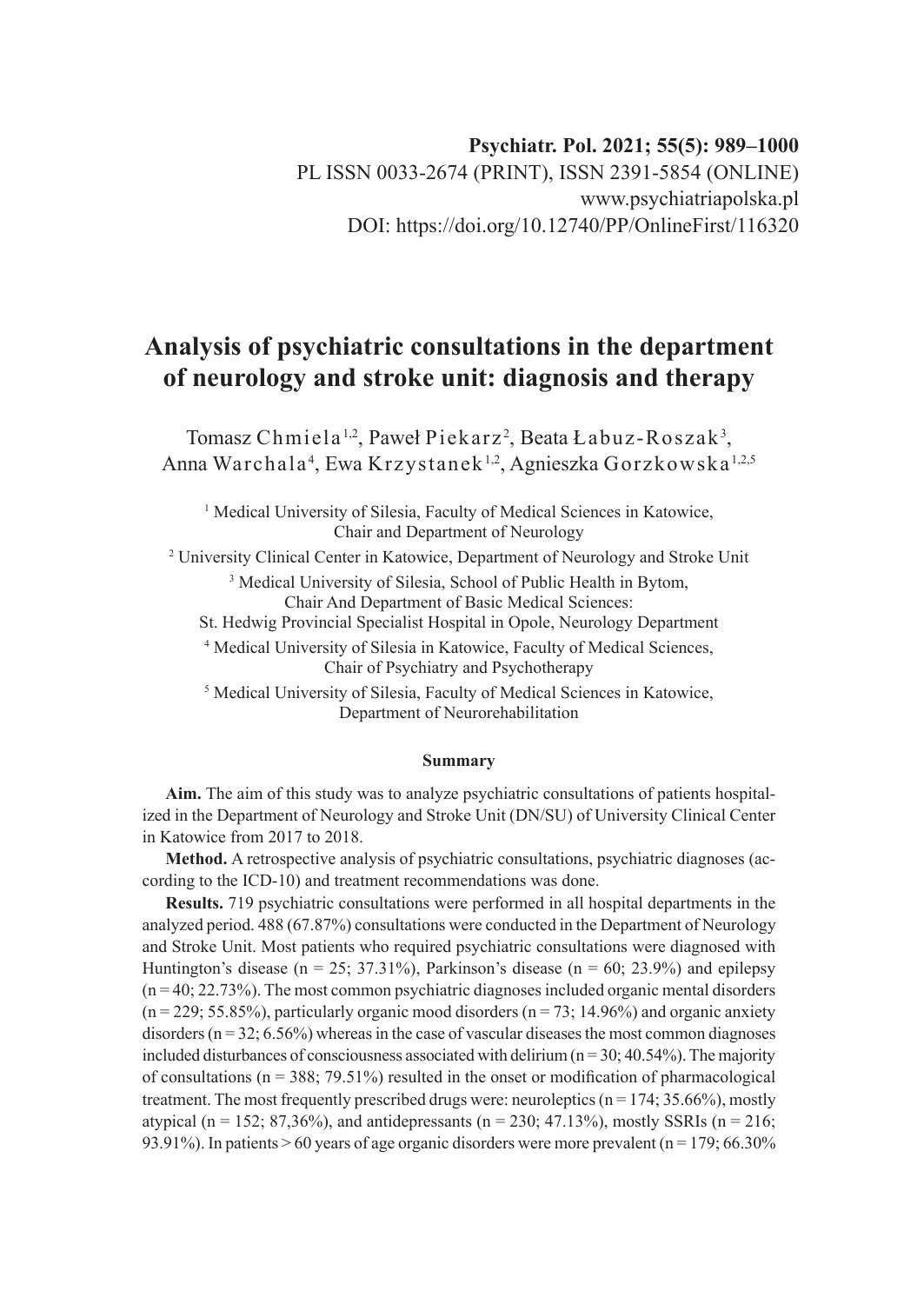# **Analysis of psychiatric consultations in the department of neurology and stroke unit: diagnosis and therapy**

Tomasz Chmiela<sup>1,2</sup>, Paweł Piekarz<sup>2</sup>, Beata Łabuz-Roszak<sup>3</sup>, Anna Warchala<sup>4</sup>, Ewa Krzystanek<sup>1,2</sup>, Agnieszka Gorzkowska<sup>1,2,5</sup>

<sup>1</sup> Medical University of Silesia, Faculty of Medical Sciences in Katowice, Chair and Department of Neurology

2 University Clinical Center in Katowice, Department of Neurology and Stroke Unit

3 Medical University of Silesia, School of Public Health in Bytom, Chair And Department of Basic Medical Sciences:

St. Hedwig Provincial Specialist Hospital in Opole, Neurology Department

4 Medical University of Silesia in Katowice, Faculty of Medical Sciences, Chair of Psychiatry and Psychotherapy

5 Medical University of Silesia, Faculty of Medical Sciences in Katowice, Department of Neurorehabilitation

#### **Summary**

**Aim.** The aim of this study was to analyze psychiatric consultations of patients hospitalized in the Department of Neurology and Stroke Unit (DN/SU) of University Clinical Center in Katowice from 2017 to 2018.

**Method.** A retrospective analysis of psychiatric consultations, psychiatric diagnoses (according to the ICD-10) and treatment recommendations was done.

**Results.** 719 psychiatric consultations were performed in all hospital departments in the analyzed period. 488 (67.87%) consultations were conducted in the Department of Neurology and Stroke Unit. Most patients who required psychiatric consultations were diagnosed with Huntington's disease ( $n = 25$ ; 37.31%), Parkinson's disease ( $n = 60$ ; 23.9%) and epilepsy  $(n = 40; 22.73%)$ . The most common psychiatric diagnoses included organic mental disorders  $(n = 229; 55.85\%)$ , particularly organic mood disorders  $(n = 73; 14.96\%)$  and organic anxiety disorders ( $n = 32$ ; 6.56%) whereas in the case of vascular diseases the most common diagnoses included disturbances of consciousness associated with delirium ( $n = 30$ ; 40.54%). The majority of consultations ( $n = 388$ ; 79.51%) resulted in the onset or modification of pharmacological treatment. The most frequently prescribed drugs were: neuroleptics  $(n = 174; 35.66\%)$ , mostly atypical (n = 152; 87,36%), and antidepressants (n = 230; 47.13%), mostly SSRIs (n = 216; 93.91%). In patients  $> 60$  years of age organic disorders were more prevalent ( $n = 179$ ; 66.30%)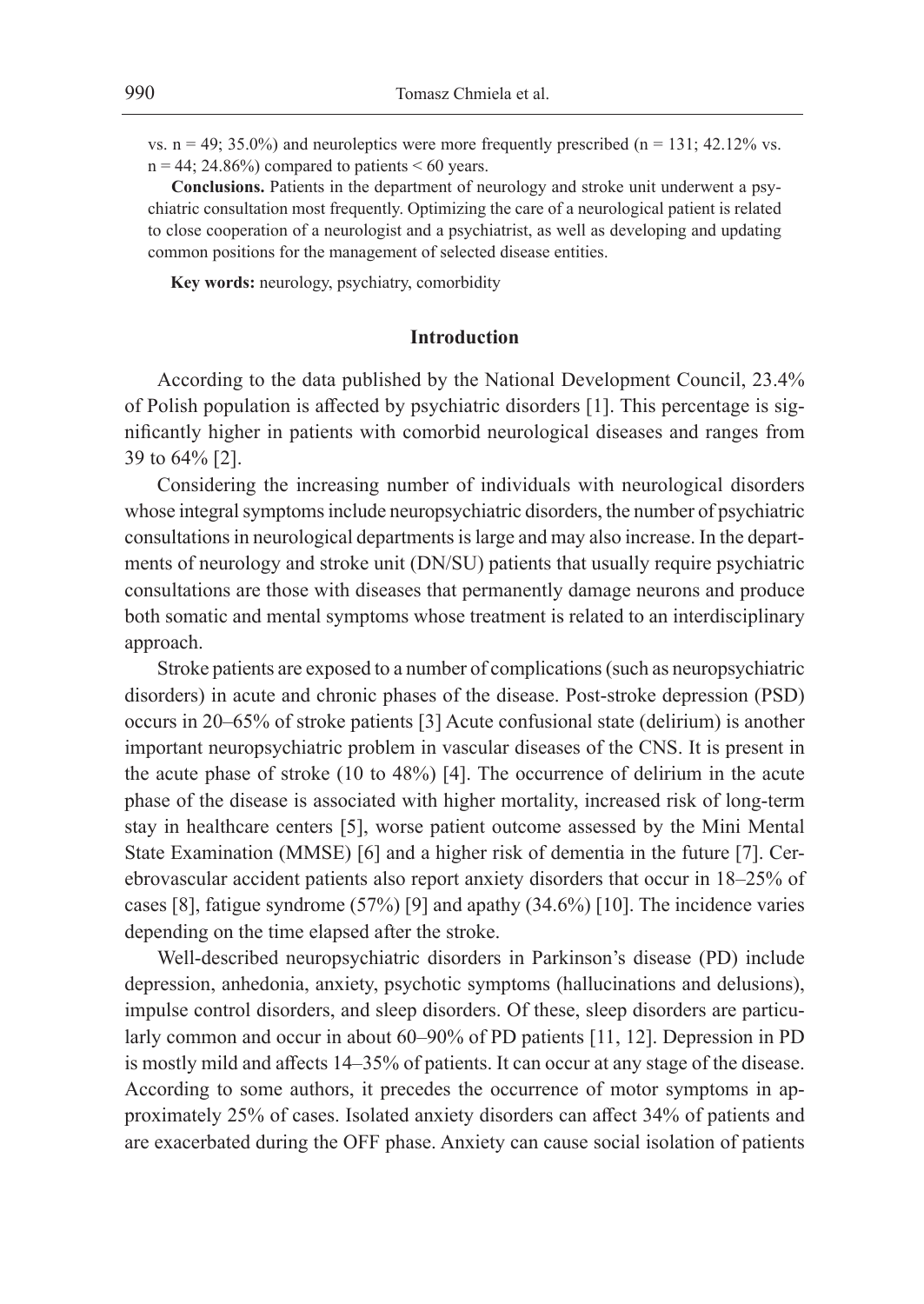vs.  $n = 49$ ; 35.0%) and neuroleptics were more frequently prescribed ( $n = 131$ ; 42.12% vs.  $n = 44$ ; 24.86%) compared to patients < 60 years.

**Conclusions.** Patients in the department of neurology and stroke unit underwent a psychiatric consultation most frequently. Optimizing the care of a neurological patient is related to close cooperation of a neurologist and a psychiatrist, as well as developing and updating common positions for the management of selected disease entities.

**Key words:** neurology, psychiatry, comorbidity

### **Introduction**

According to the data published by the National Development Council, 23.4% of Polish population is affected by psychiatric disorders [1]. This percentage is significantly higher in patients with comorbid neurological diseases and ranges from 39 to 64% [2].

Considering the increasing number of individuals with neurological disorders whose integral symptoms include neuropsychiatric disorders, the number of psychiatric consultations in neurological departments is large and may also increase. In the departments of neurology and stroke unit (DN/SU) patients that usually require psychiatric consultations are those with diseases that permanently damage neurons and produce both somatic and mental symptoms whose treatment is related to an interdisciplinary approach.

Stroke patients are exposed to a number of complications (such as neuropsychiatric disorders) in acute and chronic phases of the disease. Post-stroke depression (PSD) occurs in 20–65% of stroke patients [3] Acute confusional state (delirium) is another important neuropsychiatric problem in vascular diseases of the CNS. It is present in the acute phase of stroke (10 to 48%) [4]. The occurrence of delirium in the acute phase of the disease is associated with higher mortality, increased risk of long-term stay in healthcare centers [5], worse patient outcome assessed by the Mini Mental State Examination (MMSE) [6] and a higher risk of dementia in the future [7]. Cerebrovascular accident patients also report anxiety disorders that occur in 18–25% of cases [8], fatigue syndrome (57%) [9] and apathy (34.6%) [10]. The incidence varies depending on the time elapsed after the stroke.

Well-described neuropsychiatric disorders in Parkinson's disease (PD) include depression, anhedonia, anxiety, psychotic symptoms (hallucinations and delusions), impulse control disorders, and sleep disorders. Of these, sleep disorders are particularly common and occur in about 60–90% of PD patients [11, 12]. Depression in PD is mostly mild and affects 14–35% of patients. It can occur at any stage of the disease. According to some authors, it precedes the occurrence of motor symptoms in approximately 25% of cases. Isolated anxiety disorders can affect 34% of patients and are exacerbated during the OFF phase. Anxiety can cause social isolation of patients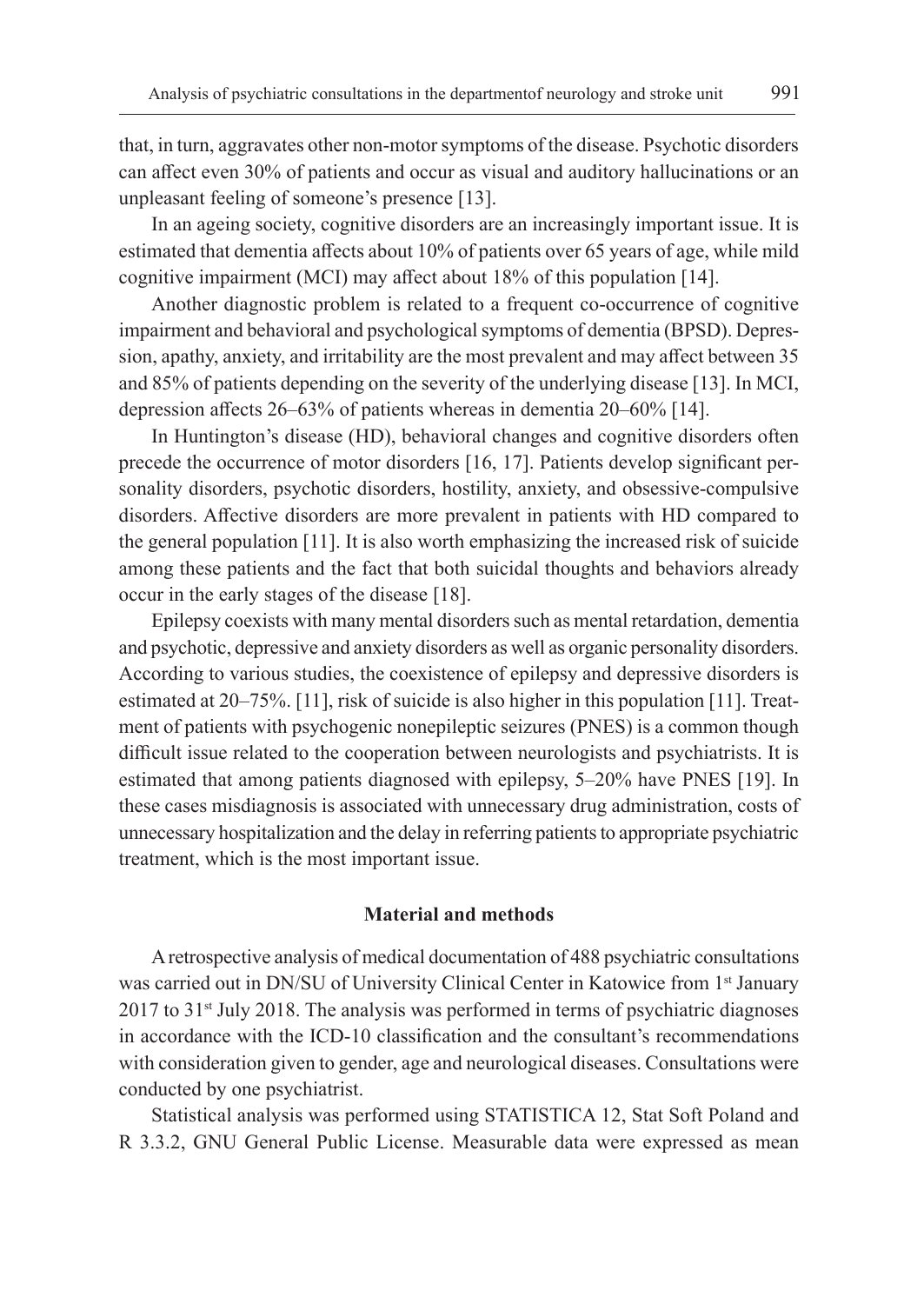that, in turn, aggravates other non-motor symptoms of the disease. Psychotic disorders can affect even 30% of patients and occur as visual and auditory hallucinations or an unpleasant feeling of someone's presence [13].

In an ageing society, cognitive disorders are an increasingly important issue. It is estimated that dementia affects about 10% of patients over 65 years of age, while mild cognitive impairment (MCI) may affect about 18% of this population [14].

Another diagnostic problem is related to a frequent co-occurrence of cognitive impairment and behavioral and psychological symptoms of dementia (BPSD). Depression, apathy, anxiety, and irritability are the most prevalent and may affect between 35 and 85% of patients depending on the severity of the underlying disease [13]. In MCI, depression affects 26–63% of patients whereas in dementia 20–60% [14].

In Huntington's disease (HD), behavioral changes and cognitive disorders often precede the occurrence of motor disorders [16, 17]. Patients develop significant personality disorders, psychotic disorders, hostility, anxiety, and obsessive-compulsive disorders. Affective disorders are more prevalent in patients with HD compared to the general population [11]. It is also worth emphasizing the increased risk of suicide among these patients and the fact that both suicidal thoughts and behaviors already occur in the early stages of the disease [18].

Epilepsy coexists with many mental disorders such as mental retardation, dementia and psychotic, depressive and anxiety disorders as well as organic personality disorders. According to various studies, the coexistence of epilepsy and depressive disorders is estimated at 20–75%. [11], risk of suicide is also higher in this population [11]. Treatment of patients with psychogenic nonepileptic seizures (PNES) is a common though difficult issue related to the cooperation between neurologists and psychiatrists. It is estimated that among patients diagnosed with epilepsy, 5–20% have PNES [19]. In these cases misdiagnosis is associated with unnecessary drug administration, costs of unnecessary hospitalization and the delay in referring patients to appropriate psychiatric treatment, which is the most important issue.

#### **Material and methods**

A retrospective analysis of medical documentation of 488 psychiatric consultations was carried out in DN/SU of University Clinical Center in Katowice from 1<sup>st</sup> January  $2017$  to  $31$ <sup>st</sup> July 2018. The analysis was performed in terms of psychiatric diagnoses in accordance with the ICD-10 classification and the consultant's recommendations with consideration given to gender, age and neurological diseases. Consultations were conducted by one psychiatrist.

Statistical analysis was performed using STATISTICA 12, Stat Soft Poland and R 3.3.2, GNU General Public License. Measurable data were expressed as mean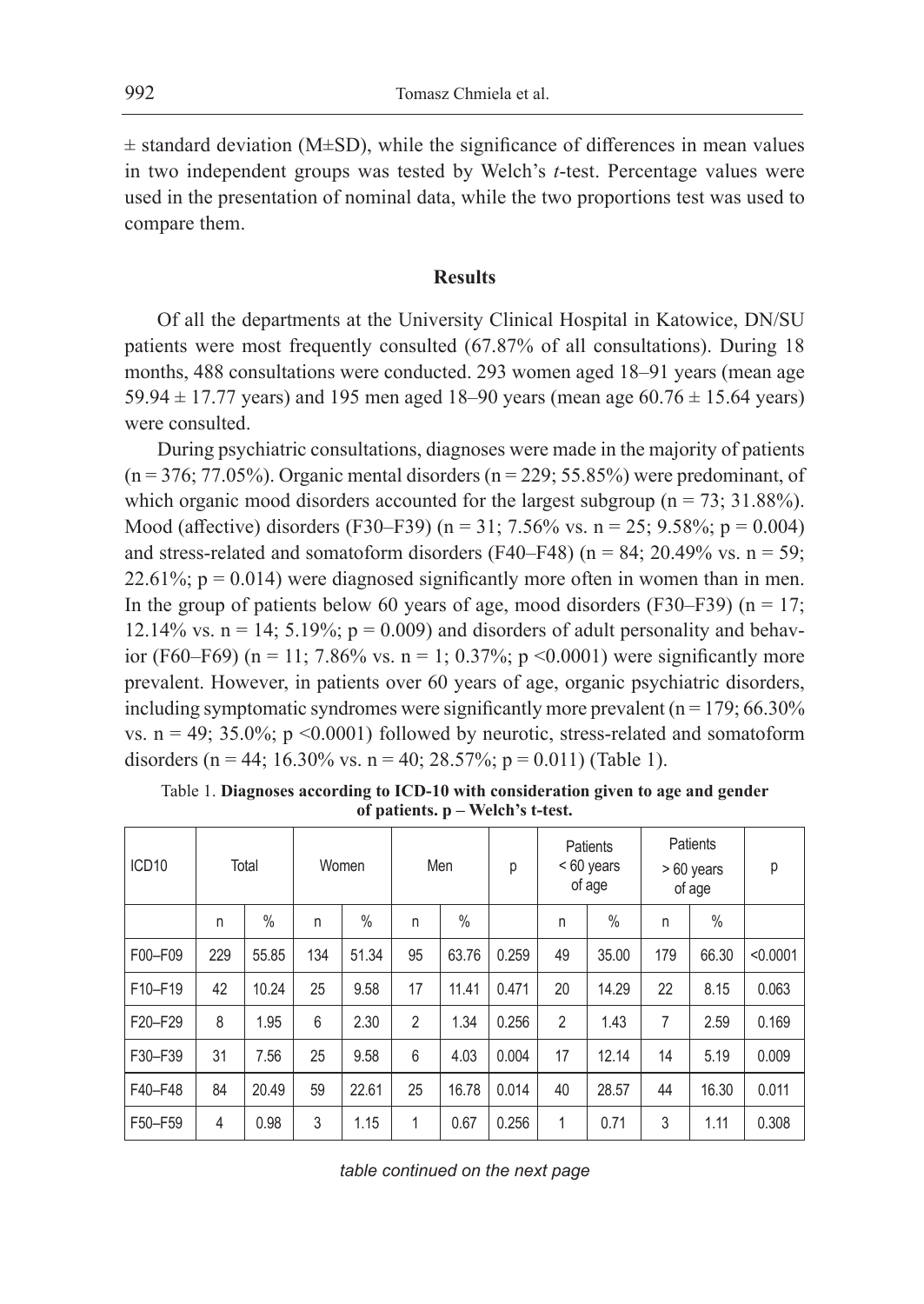$\pm$  standard deviation (M $\pm$ SD), while the significance of differences in mean values in two independent groups was tested by Welch's *t*-test. Percentage values were used in the presentation of nominal data, while the two proportions test was used to compare them.

#### **Results**

Of all the departments at the University Clinical Hospital in Katowice, DN/SU patients were most frequently consulted (67.87% of all consultations). During 18 months, 488 consultations were conducted. 293 women aged 18–91 years (mean age 59.94  $\pm$  17.77 years) and 195 men aged 18–90 years (mean age 60.76  $\pm$  15.64 years) were consulted.

During psychiatric consultations, diagnoses were made in the majority of patients  $(n = 376; 77.05%)$ . Organic mental disorders  $(n = 229; 55.85%)$  were predominant, of which organic mood disorders accounted for the largest subgroup ( $n = 73$ ; 31.88%). Mood (affective) disorders (F30–F39) (n = 31; 7.56% vs. n = 25; 9.58%; p = 0.004) and stress-related and somatoform disorders (F40–F48) ( $n = 84$ ; 20.49% vs.  $n = 59$ ; 22.61%;  $p = 0.014$ ) were diagnosed significantly more often in women than in men. In the group of patients below 60 years of age, mood disorders (F30–F39) ( $n = 17$ ; 12.14% vs.  $n = 14$ ; 5.19%;  $p = 0.009$ ) and disorders of adult personality and behavior (F60–F69) (n = 11; 7.86% vs. n = 1; 0.37%; p < 0.0001) were significantly more prevalent. However, in patients over 60 years of age, organic psychiatric disorders, including symptomatic syndromes were significantly more prevalent ( $n = 179$ ; 66.30%) vs.  $n = 49$ ; 35.0%;  $p \le 0.0001$ ) followed by neurotic, stress-related and somatoform disorders (n = 44; 16.30% vs. n = 40; 28.57%; p = 0.011) (Table 1).

| ICD <sub>10</sub> |     | Total         |     | Women         |                | Men   | р     |                | Patients<br><60 years<br>of age |     | Patients<br>$>60$ years<br>of age | р        |
|-------------------|-----|---------------|-----|---------------|----------------|-------|-------|----------------|---------------------------------|-----|-----------------------------------|----------|
|                   | n   | $\frac{0}{0}$ | n   | $\frac{0}{0}$ | n              | $\%$  |       | n              | $\frac{0}{0}$                   | n   | $\%$                              |          |
| F00-F09           | 229 | 55.85         | 134 | 51.34         | 95             | 63.76 | 0.259 | 49             | 35.00                           | 179 | 66.30                             | < 0.0001 |
| F10-F19           | 42  | 10.24         | 25  | 9.58          | 17             | 11.41 | 0.471 | 20             | 14.29                           | 22  | 8.15                              | 0.063    |
| F20-F29           | 8   | 1.95          | 6   | 2.30          | $\overline{2}$ | 1.34  | 0.256 | $\overline{2}$ | 1.43                            | 7   | 2.59                              | 0.169    |
| F30-F39           | 31  | 7.56          | 25  | 9.58          | 6              | 4.03  | 0.004 | 17             | 12.14                           | 14  | 5.19                              | 0.009    |
| F40-F48           | 84  | 20.49         | 59  | 22.61         | 25             | 16.78 | 0.014 | 40             | 28.57                           | 44  | 16.30                             | 0.011    |
| F50-F59           | 4   | 0.98          | 3   | 1.15          | 1              | 0.67  | 0.256 | 1              | 0.71                            | 3   | 1.11                              | 0.308    |

Table 1. **Diagnoses according to ICD-10 with consideration given to age and gender of patients. p – Welch's t-test.**

*table continued on the next page*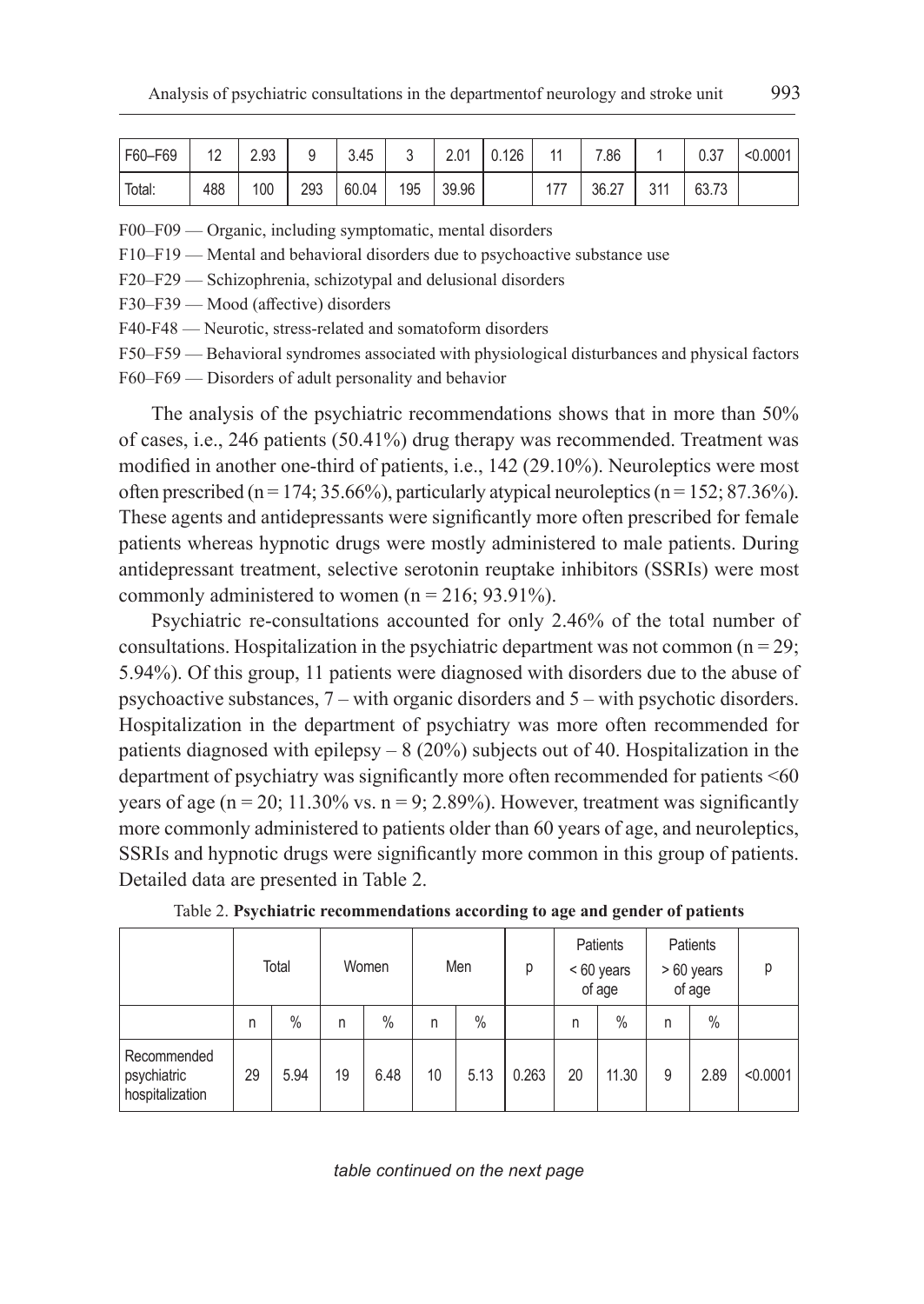| F60-F69 | 12  | 2.93 |     | 3.45  | u   | 2.01  | 126 |                          | 7.86  |            | 0.37  | < 0.0001 |
|---------|-----|------|-----|-------|-----|-------|-----|--------------------------|-------|------------|-------|----------|
| Total:  | 488 | 100  | 293 | 60.04 | 195 | 39.96 |     | $\overline{\phantom{a}}$ | 36.27 | 211<br>◡╷╷ | 63.73 |          |

F00–F09 — Organic, including symptomatic, mental disorders

F10–F19 — Mental and behavioral disorders due to psychoactive substance use

F20–F29 — Schizophrenia, schizotypal and delusional disorders

F30–F39 — Mood (affective) disorders

F40-F48 — Neurotic, stress-related and somatoform disorders

F50–F59 — Behavioral syndromes associated with physiological disturbances and physical factors

F60–F69 — Disorders of adult personality and behavior

The analysis of the psychiatric recommendations shows that in more than 50% of cases, i.e., 246 patients (50.41%) drug therapy was recommended. Treatment was modified in another one-third of patients, i.e., 142 (29.10%). Neuroleptics were most often prescribed (n = 174; 35.66%), particularly atypical neuroleptics (n = 152; 87.36%). These agents and antidepressants were significantly more often prescribed for female patients whereas hypnotic drugs were mostly administered to male patients. During antidepressant treatment, selective serotonin reuptake inhibitors (SSRIs) were most commonly administered to women  $(n = 216; 93.91\%)$ .

Psychiatric re-consultations accounted for only 2.46% of the total number of consultations. Hospitalization in the psychiatric department was not common  $(n = 29)$ ; 5.94%). Of this group, 11 patients were diagnosed with disorders due to the abuse of psychoactive substances, 7 – with organic disorders and 5 – with psychotic disorders. Hospitalization in the department of psychiatry was more often recommended for patients diagnosed with epilepsy – 8 (20%) subjects out of 40. Hospitalization in the department of psychiatry was significantly more often recommended for patients <60 years of age ( $n = 20$ ; 11.30% vs.  $n = 9$ ; 2.89%). However, treatment was significantly more commonly administered to patients older than 60 years of age, and neuroleptics, SSRIs and hypnotic drugs were significantly more common in this group of patients. Detailed data are presented in Table 2.

|                                               |    | Total         |    | Women |    | Men           | D     |    | Patients<br>< 60 years<br>of age | Patients<br>> 60 years<br>of age |      | D        |
|-----------------------------------------------|----|---------------|----|-------|----|---------------|-------|----|----------------------------------|----------------------------------|------|----------|
|                                               | n  | $\frac{0}{0}$ | n  | $\%$  | n  | $\frac{0}{0}$ |       | n  | $\%$                             | n                                | $\%$ |          |
| Recommended<br>psychiatric<br>hospitalization | 29 | 5.94          | 19 | 6.48  | 10 | 5.13          | 0.263 | 20 | 11.30                            | 9                                | 2.89 | < 0.0001 |

Table 2. **Psychiatric recommendations according to age and gender of patients**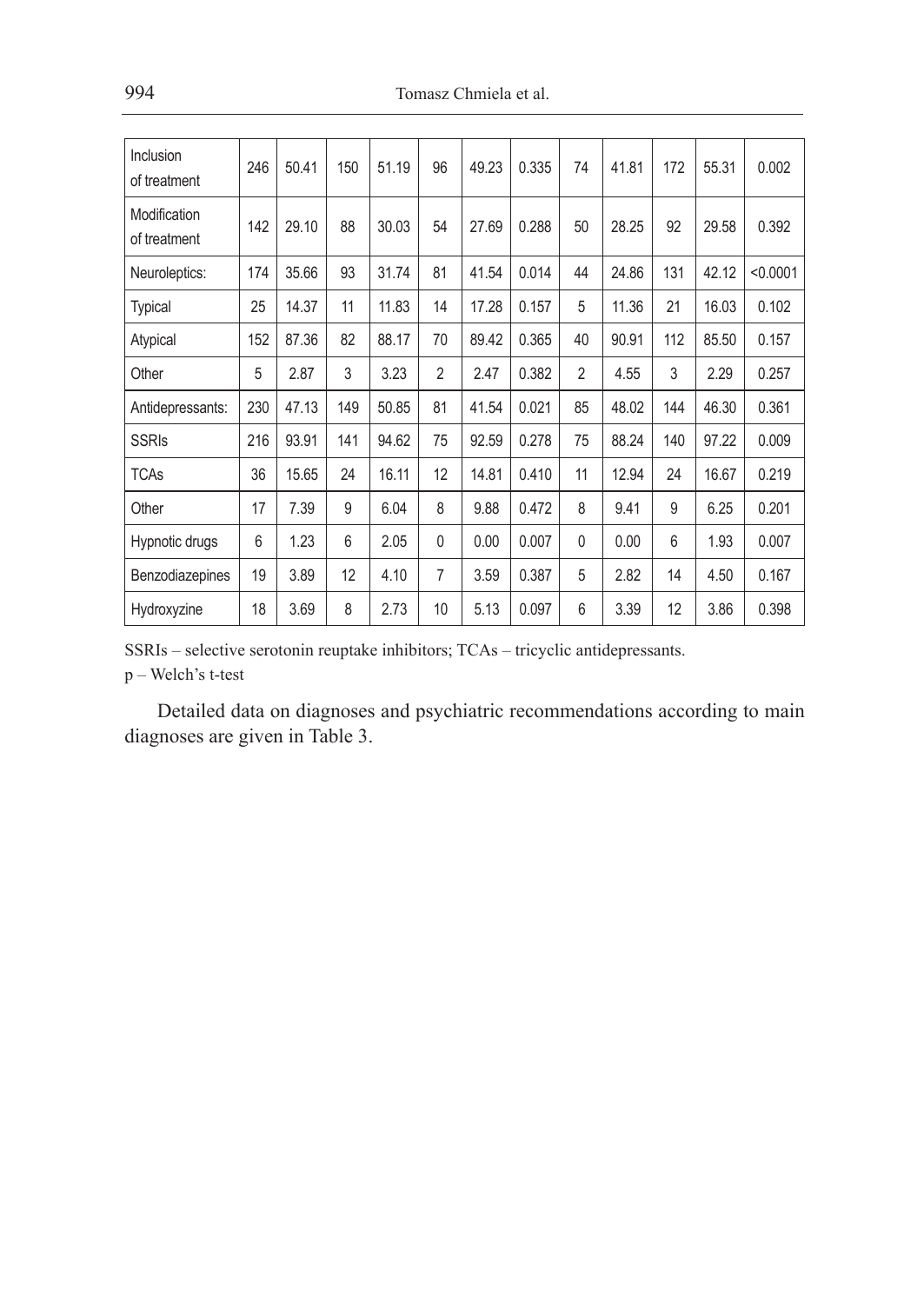| Inclusion<br>of treatment    | 246 | 50.41 | 150 | 51.19 | 96             | 49.23 | 0.335 | 74             | 41.81 | 172 | 55.31 | 0.002    |
|------------------------------|-----|-------|-----|-------|----------------|-------|-------|----------------|-------|-----|-------|----------|
| Modification<br>of treatment | 142 | 29.10 | 88  | 30.03 | 54             | 27.69 | 0.288 | 50             | 28.25 | 92  | 29.58 | 0.392    |
| Neuroleptics:                | 174 | 35.66 | 93  | 31.74 | 81             | 41.54 | 0.014 | 44             | 24.86 | 131 | 42.12 | < 0.0001 |
| <b>Typical</b>               | 25  | 14.37 | 11  | 11.83 | 14             | 17.28 | 0.157 | 5              | 11.36 | 21  | 16.03 | 0.102    |
| Atypical                     | 152 | 87.36 | 82  | 88.17 | 70             | 89.42 | 0.365 | 40             | 90.91 | 112 | 85.50 | 0.157    |
| Other                        | 5   | 2.87  | 3   | 3.23  | $\overline{2}$ | 2.47  | 0.382 | $\overline{2}$ | 4.55  | 3   | 2.29  | 0.257    |
| Antidepressants:             | 230 | 47.13 | 149 | 50.85 | 81             | 41.54 | 0.021 | 85             | 48.02 | 144 | 46.30 | 0.361    |
| <b>SSRIs</b>                 | 216 | 93.91 | 141 | 94.62 | 75             | 92.59 | 0.278 | 75             | 88.24 | 140 | 97.22 | 0.009    |
| <b>TCAs</b>                  | 36  | 15.65 | 24  | 16.11 | 12             | 14.81 | 0.410 | 11             | 12.94 | 24  | 16.67 | 0.219    |
| Other                        | 17  | 7.39  | 9   | 6.04  | 8              | 9.88  | 0.472 | 8              | 9.41  | 9   | 6.25  | 0.201    |
| Hypnotic drugs               | 6   | 1.23  | 6   | 2.05  | $\mathbf{0}$   | 0.00  | 0.007 | $\mathbf{0}$   | 0.00  | 6   | 1.93  | 0.007    |
| Benzodiazepines              | 19  | 3.89  | 12  | 4.10  | $\overline{7}$ | 3.59  | 0.387 | 5              | 2.82  | 14  | 4.50  | 0.167    |
| Hydroxyzine                  | 18  | 3.69  | 8   | 2.73  | 10             | 5.13  | 0.097 | 6              | 3.39  | 12  | 3.86  | 0.398    |

SSRIs – selective serotonin reuptake inhibitors; TCAs – tricyclic antidepressants.

p – Welch's t-test

Detailed data on diagnoses and psychiatric recommendations according to main diagnoses are given in Table 3.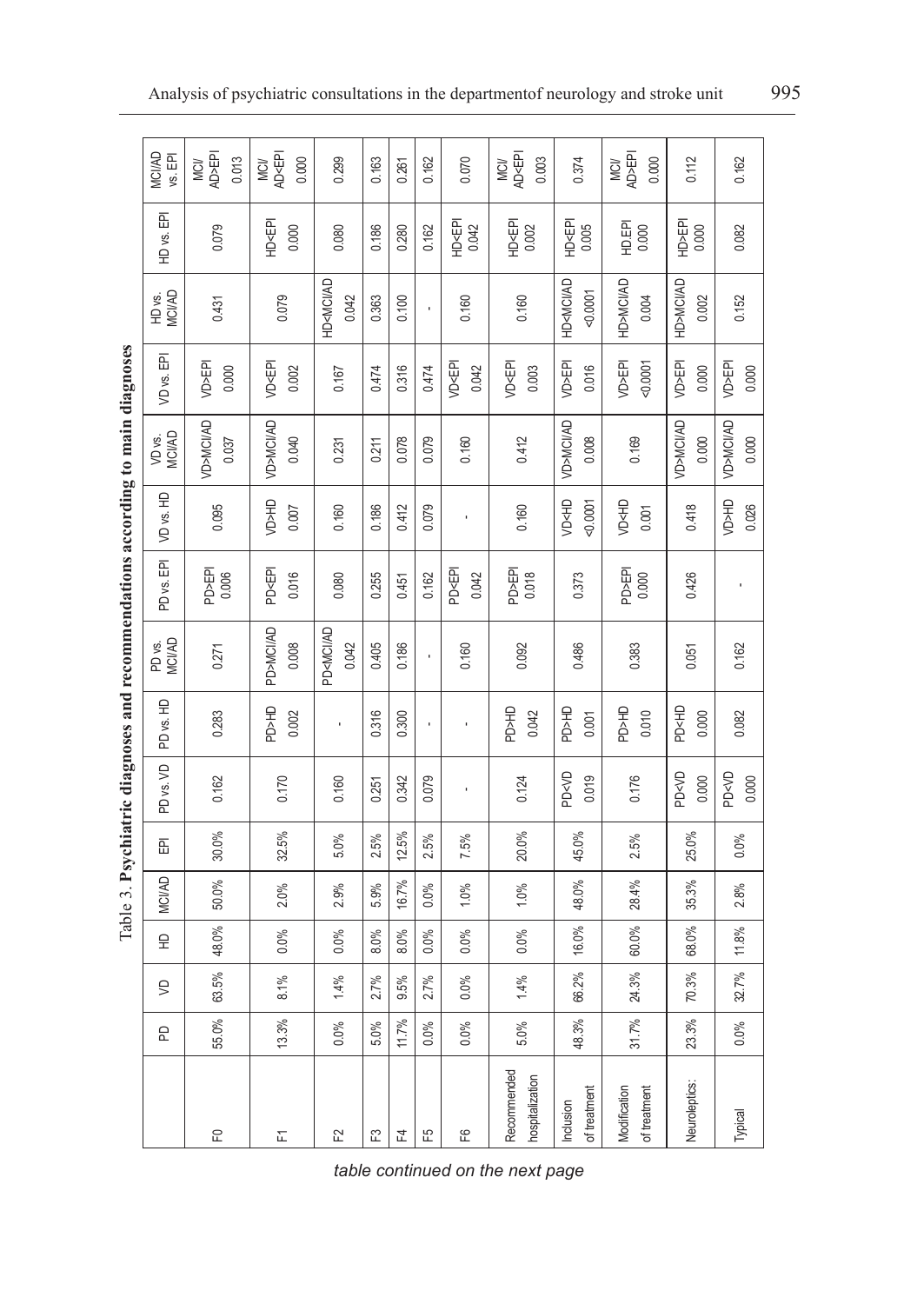|                                |         |         |       |               |         |                                     |                                     | Table 3. Psychiatric diagnoses and recommendations according to main diagnoses |                                       |                                      |                              |                                       |                                             |                                       |                                                       |
|--------------------------------|---------|---------|-------|---------------|---------|-------------------------------------|-------------------------------------|--------------------------------------------------------------------------------|---------------------------------------|--------------------------------------|------------------------------|---------------------------------------|---------------------------------------------|---------------------------------------|-------------------------------------------------------|
|                                | 운       | Ş       | 오     | <b>MCI/AD</b> | 좁       | PD <sub>vs.VD</sub>                 | PD vs. HD                           | PD vs.<br>MCI/AD                                                               | PD <sub>vs.</sub> EPI                 | VD vs. HD                            | VD vs.<br>MCII/AD            | 훕<br>VD vs. F                         | HD vs.<br>MCI/AD                            | 岳<br>HD vs.                           | <b>MCI/AD</b><br>vs. EPI                              |
| 운                              | 55.0%   | 63.5%   | 48.0% | 50.0%         | 30.0%   | 0.162                               | 0.283                               | 0.271                                                                          | PD>EPI<br>0.006                       | 0.095                                | VD>MCI/AD<br>0.037           | VD>EPI<br>0.000                       | 0.431                                       | 0.079                                 | <b>AD&gt;EPI</b><br>0.013<br>MC <sub>I</sub>          |
| 됴                              | 13.3%   | 8.1%    | 0.0%  | 2.0%          | 32.5%   | 0.170                               | <b>PD&gt;HD</b><br>0.002            | <b>PD&gt;MCI/AD</b><br>0.008                                                   | <b>PD<epi< b=""><br/>0.016</epi<></b> | <b>GH<gv< b=""><br/>0.007</gv<></b>  | VD>MCI/AD<br>0.040           | VD <epi<br>0.002</epi<br>             | 0.079                                       | HD <epi<br>0.000</epi<br>             | <b>AD<epi< b=""><br/>0.000<br/>MCI/</epi<></b>        |
| F2                             | $0.0\%$ | 1.4%    | 0.0%  | 2.9%          | 5.0%    | 0.160                               |                                     | PD <mci ad<br="">0.042</mci>                                                   | 0.080                                 | 0.160                                | 0.231                        | 0.167                                 | <b>HD<mci ad<="" b=""><br/>0.042</mci></b>  | 0.080                                 | 0.299                                                 |
| E                              | 5.0%    | 2.7%    | 8.0%  | 5.9%          | 2.5%    | 0.251                               | 0.316                               | 0.405                                                                          | 0.255                                 | 0.186                                | 0.211                        | 0.474                                 | 0.363                                       | 0.186                                 | 0.163                                                 |
| 군                              | 11.7%   | $9.5\%$ | 8.0%  | 16.7%         | 12.5%   | 0.342                               | 0.300                               | 0.186                                                                          | 0.451                                 | 0.412                                | 0.078                        | 0.316                                 | 0.100                                       | 0.280                                 | 0.261                                                 |
| 언                              | $0.0\%$ | 2.7%    | 0.0%  | 0.0%          | $2.5\%$ | 0.079                               | ı                                   | ï                                                                              | 0.162                                 | 0.079                                | 0.079                        | 0.474                                 | ï                                           | 0.162                                 | 0.162                                                 |
| မို                            | $0.0\%$ | 0.0%    | 0.0%  | 1.0%          | 7.5%    |                                     |                                     | 0.160                                                                          | <b>PD<epi< b=""><br/>0.042</epi<></b> |                                      | 0.160                        | VD <epi<br>0.042</epi<br>             | 0.160                                       | HD <epi<br>0.042</epi<br>             | 0.070                                                 |
| Recommended<br>hospitalization | $5.0\%$ | 1.4%    | 0.0%  | 1.0%          | 20.0%   | 0.124                               | <b>PD&gt;HD</b><br>0.042            | 0.092                                                                          | PD>EPI<br>0.018                       | 0.160                                | 0.412                        | <b>VD<epi< b=""><br/>0.003</epi<></b> | 0.160                                       | HD <epi<br>0.002</epi<br>             | <b>AD<epi< b=""><br/>0.003<br/><b>MCI/</b></epi<></b> |
| of treatment<br>Indusion       | 48.3%   | 66.2%   | 16.0% | 48.0%         | 45.0%   | <b>PD<vd< b=""><br/>0.019</vd<></b> | <b>PD&gt;HD</b><br>0.001            | 0.486                                                                          | 0.373                                 | <b>VD<hd< b=""><br/>0.0001</hd<></b> | <b>VD&gt;MCI/AD</b><br>0.008 | <b>VD&gt;EPI</b><br>0.016             | <b>HD<mci ad<="" b=""><br/>0.0001</mci></b> | <b>HD<epi< b=""><br/>0.005</epi<></b> | 0.374                                                 |
| Modification<br>of treatment   | 31.7%   | 24.3%   | 60.0% | 28.4%         | 2.5%    | 0.176                               | <b>PD&gt;HD</b><br>0.010            | 0.383                                                                          | PD>EPI<br>0.000                       | <b>VD<hd< b=""><br/>0.001</hd<></b>  | 0.169                        | VD>EPI<br>0.0001                      | HD>MCI/AD<br>0.004                          | <b>HD.EPI</b><br>0.000                | AD>EPI<br>0.000<br>MC <sub>I</sub>                    |
| Neuroleptics:                  | 23.3%   | 70.3%   | 68.0% | 35.3%         | 25.0%   | <b>PD<vd< b=""><br/>0.000</vd<></b> | <b>PD<hd< b=""><br/>0.000</hd<></b> | 0.051                                                                          | 0.426                                 | 0.418                                | VD>MCI/AD<br>0.000           | VD>EPI<br>0.000                       | HD>MCI/AD<br>0.002                          | HD>EPI<br>0.000                       | 0.112                                                 |
| Typical                        | $0.0\%$ | 32.7%   | 11.8% | 2.8%          | $0.0\%$ | <b>PD<vd< b=""><br/>0.000</vd<></b> | 0.082                               | 0.162                                                                          |                                       | <b>UH<g <="" b=""><br/>0.026</g></b> | VD>MCI/AD<br>0.000           | <b>VD&gt;EPI</b><br>0.000             | 0.152                                       | 0.082                                 | 0.162                                                 |

*table continued on the next page*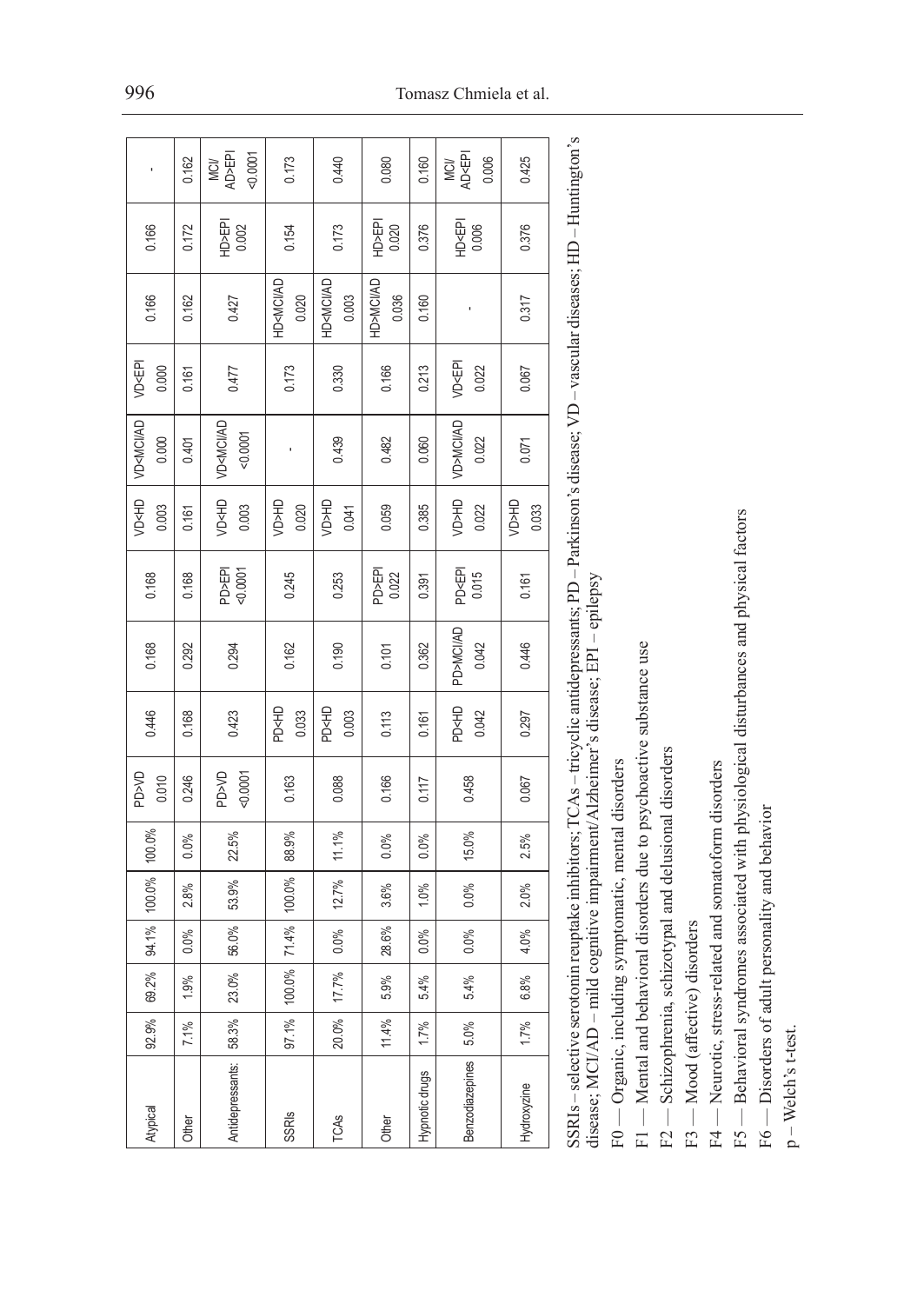|                                     | 0.162 | AD>EPI<br>0.0001<br>MCI/             | 0.173                               | 0.440                                      | 0.080              | 0.160          | MCI/<br>AD <epi<br>0.006</epi<br>   | 0.425                               |  |
|-------------------------------------|-------|--------------------------------------|-------------------------------------|--------------------------------------------|--------------------|----------------|-------------------------------------|-------------------------------------|--|
|                                     |       |                                      |                                     |                                            |                    |                |                                     |                                     |  |
| 0.166                               | 0.172 | HD>EPI<br>0.002                      | 0.154                               | 0.173                                      | HD>EPI<br>0.020    | 0.376          | HD <epi<br>0.006</epi<br>           | 0.376                               |  |
| 0.166                               | 0.162 | 0.427                                | HD <mci ad<br="">0.020</mci>        | <b>HD<mci ad<="" b=""><br/>0.003</mci></b> | HD>MCI/AD<br>0.036 | 0.160          |                                     | 0.317                               |  |
| VD <epi<br>0.000</epi<br>           | 0.161 | 0.477                                | 0.173                               | 0.330                                      | 0.166              | 0.213          | VD <epi<br>0.022</epi<br>           | 0.067                               |  |
| VD <mci ad<br="">0.000</mci>        | 0.401 | VD <mci ad<br="">0.0001</mci>        |                                     | 0.439                                      | 0.482              | 0.060          | VD>MCI/AD<br>0.022                  | 0.071                               |  |
| <b>VD<hd< b=""><br/>0.003</hd<></b> | 0.161 | <b>VD<hd< b=""><br/>0.003</hd<></b>  | <b>GH<gn< b=""><br/>0.020</gn<></b> | <b>GH<gn< b=""><br/>0.041</gn<></b>        | 0.059              | 0.385          | <b>CH<gv< b=""><br/>0.022</gv<></b> | <b>GH<ga< b=""><br/>0.033</ga<></b> |  |
| 0.168                               | 0.168 | PD>EPI<br><0.0001                    | 0.245                               | 0.253                                      | PD>EPI<br>0.022    | 0.391          | PD <epi<br>0.015</epi<br>           | 0.161                               |  |
| 0.168                               | 0.292 | 0.294                                | 0.162                               | 0.190                                      | 0.101              | 0.362          | PD>MCI/AD<br>0.042                  | 0.446                               |  |
| 0.446                               | 0.168 | 0.423                                | <b>PD<hd< b=""><br/>0.033</hd<></b> | <b>PD<hd< b=""><br/>0.003</hd<></b>        | 0.113              | 0.161          | <b>PD<hd< b=""><br/>0.042</hd<></b> | 0.297                               |  |
| <b>DV<gd< b=""><br/>0.010</gd<></b> | 0.246 | <b>DV<gd< b=""><br/>0.0001</gd<></b> | 0.163                               | 0.088                                      | 0.166              | 0.117          | 0.458                               | 0.067                               |  |
| 100.0%                              | 0.0%  | 22.5%                                | 88.9%                               | 11.1%                                      | 0.0%               | 0.0%           | 15.0%                               | $2.5\%$                             |  |
| 100.0%                              | 2.8%  | 53.9%                                | 100.0%                              | 12.7%                                      | 3.6%               | 1.0%           | 0.0%                                | 2.0%                                |  |
| 94.1%                               | 0.0%  | 56.0%                                | 71.4%                               | $0.0\%$                                    | 28.6%              | $0.0\%$        | $0.0\%$                             | 4.0%                                |  |
| 69.2%                               | 1.9%  | 23.0%                                | 100.0%                              | 17.7%                                      | 5.9%               | 5.4%           | 5.4%                                | 6.8%                                |  |
| 92.9%                               | 7.1%  | 58.3%                                | 97.1%                               | 20.0%                                      | 11.4%              | 1.7%           | 5.0%                                | 1.7%                                |  |
| Atypical                            | Other | Antidepressants:                     | <b>SSRIS</b>                        | TCAS                                       | Other              | Hypnotic drugs | Benzodiazepines                     | Hydroxyzine                         |  |

| )                                                                                |                                       |
|----------------------------------------------------------------------------------|---------------------------------------|
|                                                                                  |                                       |
| l                                                                                |                                       |
|                                                                                  |                                       |
|                                                                                  |                                       |
|                                                                                  |                                       |
|                                                                                  |                                       |
| l                                                                                |                                       |
| ļ<br>ļ                                                                           |                                       |
|                                                                                  |                                       |
|                                                                                  |                                       |
|                                                                                  |                                       |
|                                                                                  |                                       |
| l                                                                                |                                       |
| i                                                                                |                                       |
|                                                                                  | l                                     |
|                                                                                  |                                       |
|                                                                                  |                                       |
|                                                                                  |                                       |
|                                                                                  |                                       |
| l                                                                                |                                       |
| ļ<br>l                                                                           |                                       |
|                                                                                  |                                       |
|                                                                                  |                                       |
|                                                                                  |                                       |
|                                                                                  |                                       |
| ֧֦֦֧֦֧ׅ֦֧ׅ֧֦֧ׅ֧֧֦֧ׅ֧ׅ֧ׅ֧֧ׅ֧֛֧ׅ֧֦֧ׅ֧֧֧֧ׅ֧֧֧֧֧֧֚֚֚֚֚֚֚֚֚֚֝֝֘֜֓֜֓֜֓֝֬֜֓֜֓֜֓֜֜֓֜֓֜֓֜ |                                       |
|                                                                                  | ì<br>$\overline{a}$<br>$\overline{1}$ |
|                                                                                  | ļ                                     |
| l<br>)<br>}                                                                      |                                       |
| $\overline{\phantom{a}}$<br>I                                                    | ł                                     |
| i<br>C                                                                           |                                       |

F0 — Organic, including symptomatic, mental disorders F0 — Organic, including symptomatic, mental disorders

Mental and behavioral disorders due to psychoactive substance use F1 — Mental and behavioral disorders due to psychoactive substance use

Schizophrenia, schizotypal and delusional disorders F2 — Schizophrenia, schizotypal and delusional disorders  $\begin{array}{c} \n\begin{array}{c}\n1 \\
1 \\
1\n\end{array} \\
\hline\n\begin{array}{c}\n1 \\
2 \\
1\n\end{array} \\
\hline\n\end{array}$ 

Mood (affective) disorders F3 — Mood (affective) disorders

Neurotic, stress-related and somatoform disorders F4 — Neurotic, stress-related and somatoform disorders  $F4 -$  F5 - Behavioral syndromes associated with physiological disturbances and physical factors F5 — Behavioral syndromes associated with physiological disturbances and physical factors

F6 — Disorders of adult personality and behavior F6 — Disorders of adult personality and behavior

p - Welch's t-test. p – Welch's t-test.

## 996 Tomasz Chmiela et al.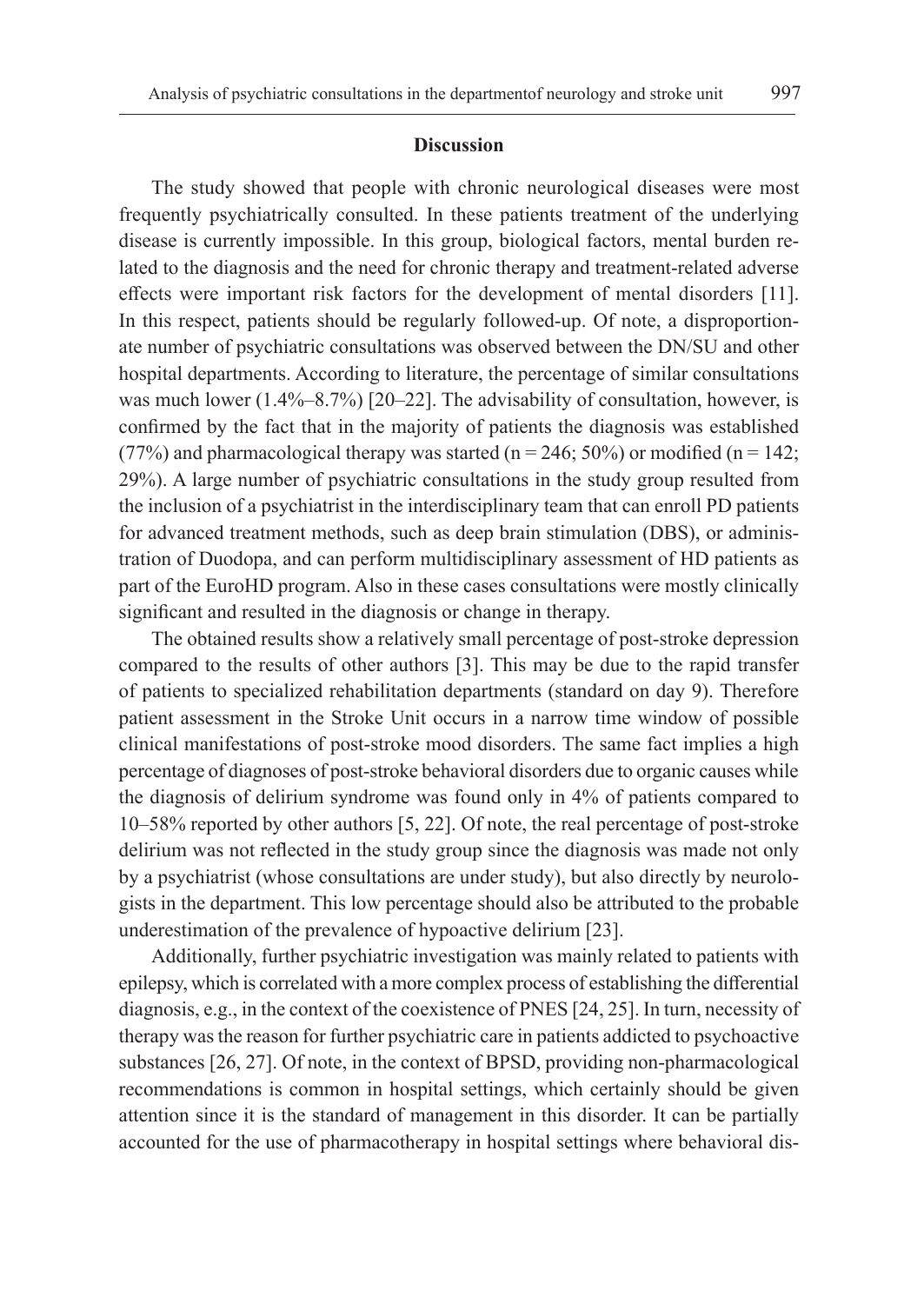#### **Discussion**

The study showed that people with chronic neurological diseases were most frequently psychiatrically consulted. In these patients treatment of the underlying disease is currently impossible. In this group, biological factors, mental burden related to the diagnosis and the need for chronic therapy and treatment-related adverse effects were important risk factors for the development of mental disorders [11]. In this respect, patients should be regularly followed-up. Of note, a disproportionate number of psychiatric consultations was observed between the DN/SU and other hospital departments. According to literature, the percentage of similar consultations was much lower  $(1.4\% - 8.7\%)$  [20–22]. The advisability of consultation, however, is confirmed by the fact that in the majority of patients the diagnosis was established (77%) and pharmacological therapy was started ( $n = 246$ ; 50%) or modified ( $n = 142$ ; 29%). A large number of psychiatric consultations in the study group resulted from the inclusion of a psychiatrist in the interdisciplinary team that can enroll PD patients for advanced treatment methods, such as deep brain stimulation (DBS), or administration of Duodopa, and can perform multidisciplinary assessment of HD patients as part of the EuroHD program. Also in these cases consultations were mostly clinically significant and resulted in the diagnosis or change in therapy.

The obtained results show a relatively small percentage of post-stroke depression compared to the results of other authors [3]. This may be due to the rapid transfer of patients to specialized rehabilitation departments (standard on day 9). Therefore patient assessment in the Stroke Unit occurs in a narrow time window of possible clinical manifestations of post-stroke mood disorders. The same fact implies a high percentage of diagnoses of post-stroke behavioral disorders due to organic causes while the diagnosis of delirium syndrome was found only in 4% of patients compared to 10–58% reported by other authors [5, 22]. Of note, the real percentage of post-stroke delirium was not reflected in the study group since the diagnosis was made not only by a psychiatrist (whose consultations are under study), but also directly by neurologists in the department. This low percentage should also be attributed to the probable underestimation of the prevalence of hypoactive delirium [23].

Additionally, further psychiatric investigation was mainly related to patients with epilepsy, which is correlated with a more complex process of establishing the differential diagnosis, e.g., in the context of the coexistence of PNES [24, 25]. In turn, necessity of therapy was the reason for further psychiatric care in patients addicted to psychoactive substances [26, 27]. Of note, in the context of BPSD, providing non-pharmacological recommendations is common in hospital settings, which certainly should be given attention since it is the standard of management in this disorder. It can be partially accounted for the use of pharmacotherapy in hospital settings where behavioral dis-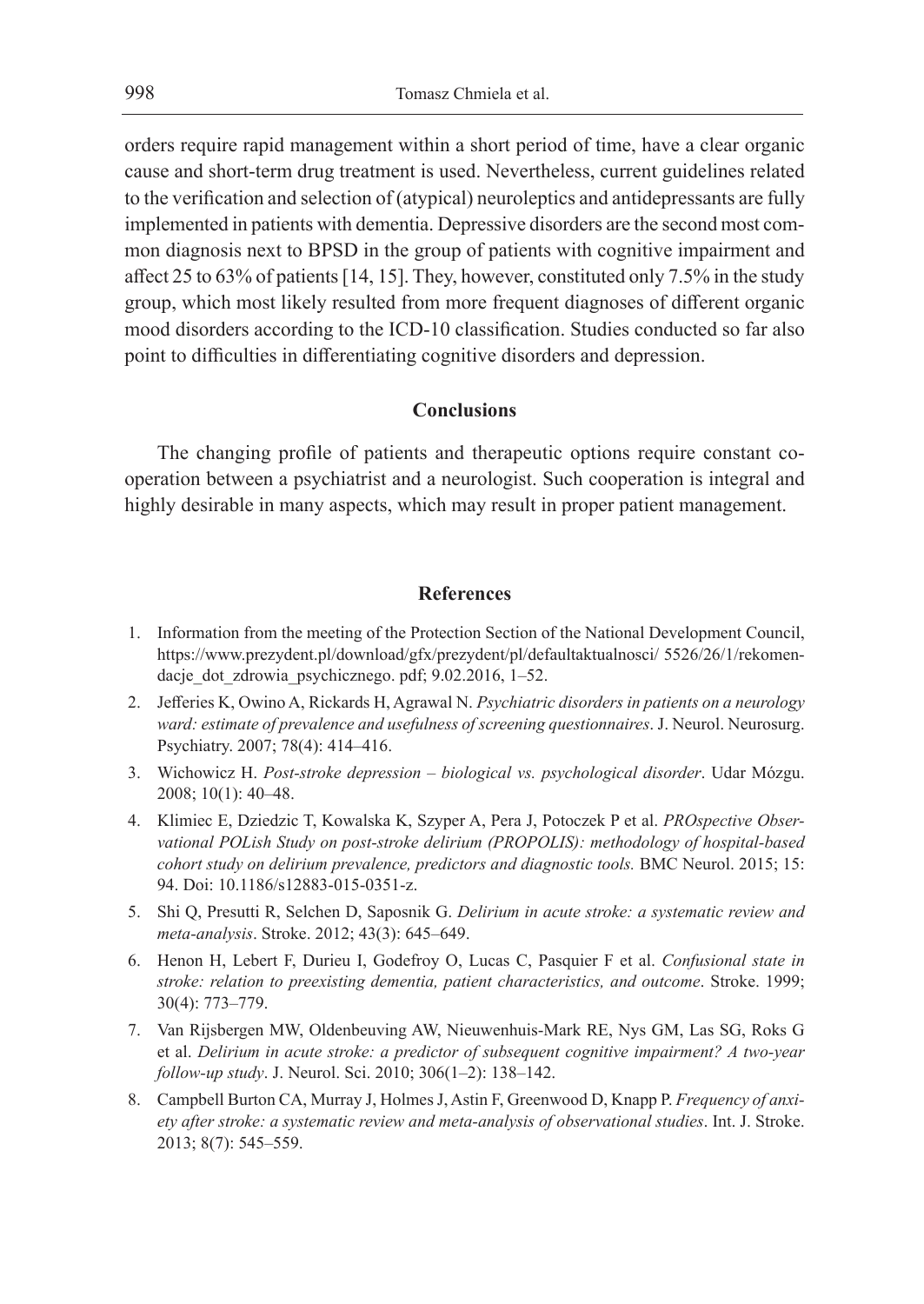orders require rapid management within a short period of time, have a clear organic cause and short-term drug treatment is used. Nevertheless, current guidelines related to the verification and selection of (atypical) neuroleptics and antidepressants are fully implemented in patients with dementia. Depressive disorders are the second most common diagnosis next to BPSD in the group of patients with cognitive impairment and affect 25 to 63% of patients [14, 15]. They, however, constituted only 7.5% in the study group, which most likely resulted from more frequent diagnoses of different organic mood disorders according to the ICD-10 classification. Studies conducted so far also point to difficulties in differentiating cognitive disorders and depression.

## **Conclusions**

The changing profile of patients and therapeutic options require constant cooperation between a psychiatrist and a neurologist. Such cooperation is integral and highly desirable in many aspects, which may result in proper patient management.

## **References**

- 1. Information from the meeting of the Protection Section of the National Development Council, https://www.prezydent.pl/download/gfx/prezydent/pl/defaultaktualnosci/ 5526/26/1/rekomendacje dot zdrowia psychicznego. pdf; 9.02.2016, 1–52.
- 2. Jefferies K, Owino A, Rickards H, Agrawal N. *Psychiatric disorders in patients on a neurology ward: estimate of prevalence and usefulness of screening questionnaires*. J. Neurol. Neurosurg. Psychiatry. 2007; 78(4): 414–416.
- 3. Wichowicz H. *Post-stroke depression biological vs. psychological disorder*. Udar Mózgu. 2008; 10(1): 40–48.
- 4. Klimiec E, Dziedzic T, Kowalska K, Szyper A, Pera J, Potoczek P et al. *PROspective Observational POLish Study on post-stroke delirium (PROPOLIS): methodology of hospital-based cohort study on delirium prevalence, predictors and diagnostic tools.* BMC Neurol. 2015; 15: 94. Doi: 10.1186/s12883-015-0351-z.
- 5. Shi Q, Presutti R, Selchen D, Saposnik G. *Delirium in acute stroke: a systematic review and meta-analysis*. Stroke. 2012; 43(3): 645–649.
- 6. Henon H, Lebert F, Durieu I, Godefroy O, Lucas C, Pasquier F et al. *Confusional state in stroke: relation to preexisting dementia, patient characteristics, and outcome*. Stroke. 1999; 30(4): 773–779.
- 7. Van Rijsbergen MW, Oldenbeuving AW, Nieuwenhuis-Mark RE, Nys GM, Las SG, Roks G et al. *Delirium in acute stroke: a predictor of subsequent cognitive impairment? A two-year follow-up study*. J. Neurol. Sci. 2010; 306(1–2): 138–142.
- 8. Campbell Burton CA, Murray J, Holmes J, Astin F, Greenwood D, Knapp P. *Frequency of anxiety after stroke: a systematic review and meta-analysis of observational studies*. Int. J. Stroke. 2013; 8(7): 545–559.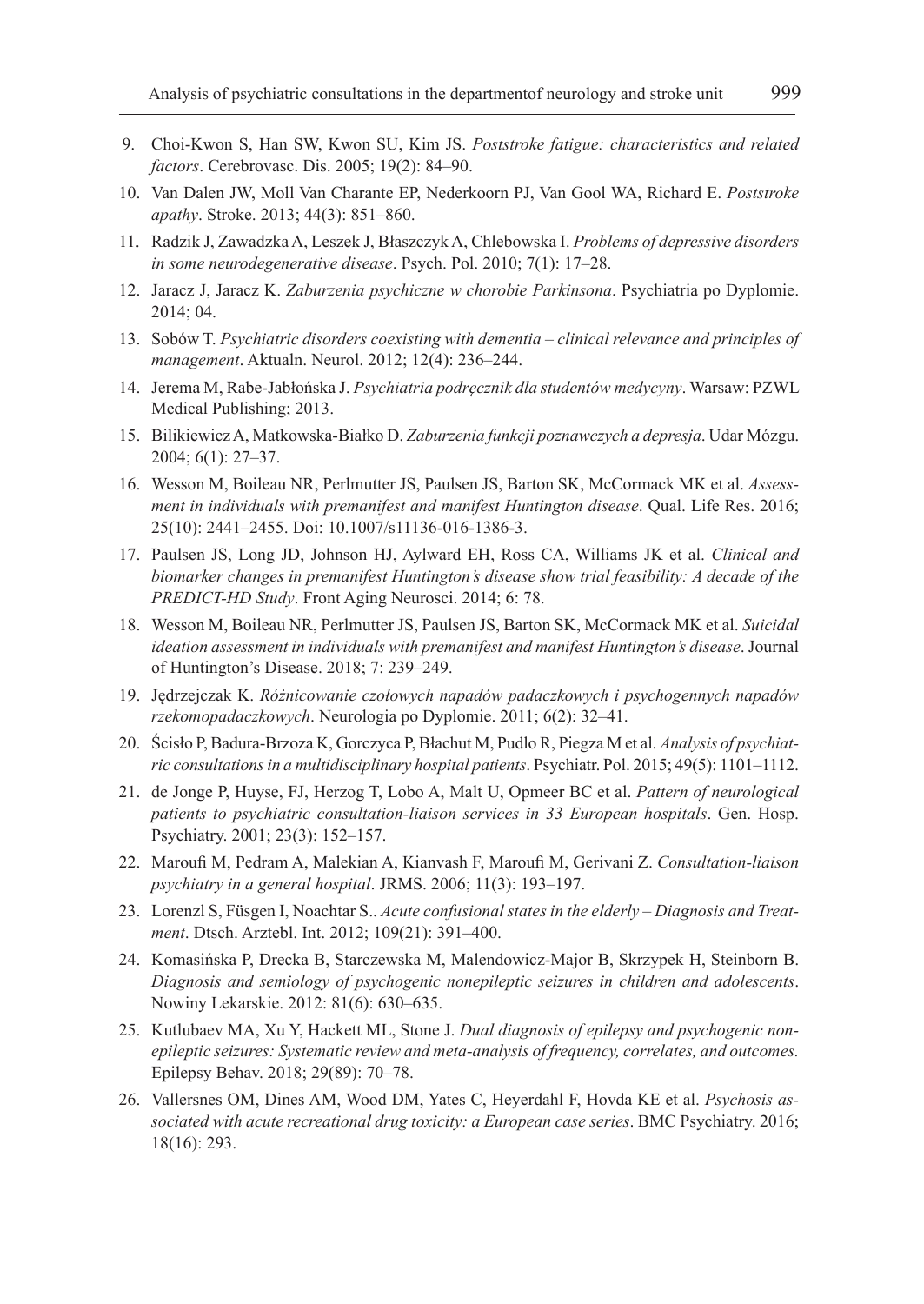- 9. Choi-Kwon S, Han SW, Kwon SU, Kim JS. *Poststroke fatigue: characteristics and related factors*. Cerebrovasc. Dis. 2005; 19(2): 84–90.
- 10. Van Dalen JW, Moll Van Charante EP, Nederkoorn PJ, Van Gool WA, Richard E. *Poststroke apathy*. Stroke. 2013; 44(3): 851–860.
- 11. Radzik J, Zawadzka A, Leszek J, Błaszczyk A, Chlebowska I. *Problems of depressive disorders in some neurodegenerative disease*. Psych. Pol. 2010; 7(1): 17–28.
- 12. Jaracz J, Jaracz K. *Zaburzenia psychiczne w chorobie Parkinsona*. Psychiatria po Dyplomie. 2014; 04.
- 13. Sobów T. *Psychiatric disorders coexisting with dementia clinical relevance and principles of management*. Aktualn. Neurol. 2012; 12(4): 236–244.
- 14. Jerema M, Rabe-Jabłońska J. *Psychiatria podręcznik dla studentów medycyny*. Warsaw: PZWL Medical Publishing; 2013.
- 15. Bilikiewicz A, Matkowska-Białko D. *Zaburzenia funkcji poznawczych a depresja*. Udar Mózgu. 2004; 6(1): 27–37.
- 16. Wesson M, Boileau NR, Perlmutter JS, Paulsen JS, Barton SK, McCormack MK et al. *Assessment in individuals with premanifest and manifest Huntington disease*. Qual. Life Res. 2016; 25(10): 2441–2455. Doi: 10.1007/s11136-016-1386-3.
- 17. Paulsen JS, Long JD, Johnson HJ, Aylward EH, Ross CA, Williams JK et al. *Clinical and biomarker changes in premanifest Huntington's disease show trial feasibility: A decade of the PREDICT-HD Study*. Front Aging Neurosci. 2014; 6: 78.
- 18. Wesson M, Boileau NR, Perlmutter JS, Paulsen JS, Barton SK, McCormack MK et al. *Suicidal ideation assessment in individuals with premanifest and manifest Huntington's disease*. Journal of Huntington's Disease. 2018; 7: 239–249.
- 19. Jędrzejczak K. *Różnicowanie czołowych napadów padaczkowych i psychogennych napadów rzekomopadaczkowych*. Neurologia po Dyplomie. 2011; 6(2): 32–41.
- 20. Ścisło P, Badura-Brzoza K, Gorczyca P, Błachut M, Pudlo R, Piegza M et al. *Analysis of psychiatric consultations in a multidisciplinary hospital patients*. Psychiatr. Pol. 2015; 49(5): 1101–1112.
- 21. de Jonge P, Huyse, FJ, Herzog T, Lobo A, Malt U, Opmeer BC et al. *Pattern of neurological patients to psychiatric consultation-liaison services in 33 European hospitals*. Gen. Hosp. Psychiatry. 2001; 23(3): 152–157.
- 22. Maroufi M, Pedram A, Malekian A, Kianvash F, Maroufi M, Gerivani Z. *Consultation-liaison psychiatry in a general hospital*. JRMS. 2006; 11(3): 193–197.
- 23. Lorenzl S, Füsgen I, Noachtar S.. *Acute confusional states in the elderly Diagnosis and Treatment*. Dtsch. Arztebl. Int. 2012; 109(21): 391–400.
- 24. Komasińska P, Drecka B, Starczewska M, Malendowicz-Major B, Skrzypek H, Steinborn B. *Diagnosis and semiology of psychogenic nonepileptic seizures in children and adolescents*. Nowiny Lekarskie. 2012: 81(6): 630–635.
- 25. Kutlubaev MA, Xu Y, Hackett ML, Stone J. *Dual diagnosis of epilepsy and psychogenic nonepileptic seizures: Systematic review and meta-analysis of frequency, correlates, and outcomes.*  Epilepsy Behav. 2018; 29(89): 70–78.
- 26. Vallersnes OM, Dines AM, Wood DM, Yates C, Heyerdahl F, Hovda KE et al. *Psychosis associated with acute recreational drug toxicity: a European case series*. BMC Psychiatry. 2016; 18(16): 293.